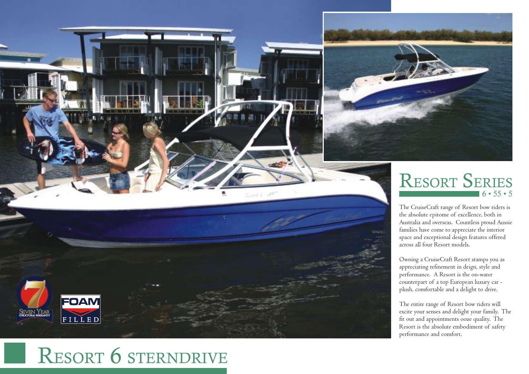

## RESORT 6 STERNDRIVE

## $16 \cdot 55 \cdot 5$ RESORT SERIES

The CruiseCraft range of Resort bow riders is the absolute epitome of e xcellence, both in Australia and o verseas. Countless proud Aussie families have come to appreciate the interior space and e xceptional design features offered across all four Resort models.

Owning a CruiseCraft Resort stamps you as appreciating refinement in deign, style and performance. A Resort is the on-water counterpart of a top European luxury car plush, comfortable and a delight to dri ve.

The entire range of Resort bow riders will excite your senses and delight your family. The fit out and appointments ooze quality. The Resort is the absolute embodiment of safety performance and comfort.